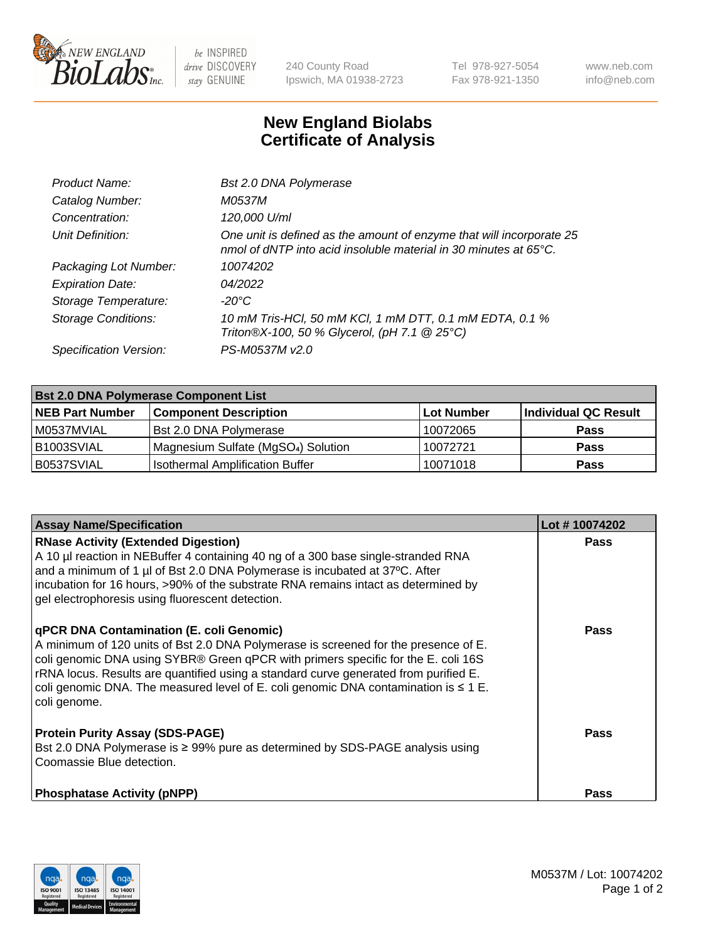

 $be$  INSPIRED drive DISCOVERY stay GENUINE

240 County Road Ipswich, MA 01938-2723 Tel 978-927-5054 Fax 978-921-1350 www.neb.com info@neb.com

## **New England Biolabs Certificate of Analysis**

| Product Name:           | Bst 2.0 DNA Polymerase                                                                                                                   |
|-------------------------|------------------------------------------------------------------------------------------------------------------------------------------|
| Catalog Number:         | M0537M                                                                                                                                   |
| Concentration:          | 120,000 U/ml                                                                                                                             |
| Unit Definition:        | One unit is defined as the amount of enzyme that will incorporate 25<br>nmol of dNTP into acid insoluble material in 30 minutes at 65°C. |
| Packaging Lot Number:   | 10074202                                                                                                                                 |
| <b>Expiration Date:</b> | 04/2022                                                                                                                                  |
| Storage Temperature:    | -20°C                                                                                                                                    |
| Storage Conditions:     | 10 mM Tris-HCl, 50 mM KCl, 1 mM DTT, 0.1 mM EDTA, 0.1 %<br>Triton®X-100, 50 % Glycerol, (pH 7.1 @ 25°C)                                  |
| Specification Version:  | PS-M0537M v2.0                                                                                                                           |
|                         |                                                                                                                                          |

| <b>Bst 2.0 DNA Polymerase Component List</b> |                                                 |            |                      |  |
|----------------------------------------------|-------------------------------------------------|------------|----------------------|--|
| <b>NEB Part Number</b>                       | <b>Component Description</b>                    | Lot Number | Individual QC Result |  |
| M0537MVIAL                                   | <b>Bst 2.0 DNA Polymerase</b>                   | 10072065   | <b>Pass</b>          |  |
| B1003SVIAL                                   | Magnesium Sulfate (MgSO <sub>4</sub> ) Solution | 10072721   | <b>Pass</b>          |  |
| B0537SVIAL                                   | <b>Isothermal Amplification Buffer</b>          | 10071018   | <b>Pass</b>          |  |

| <b>Assay Name/Specification</b>                                                                                                                                                                                                                                                                                                                                                                                                 | Lot #10074202 |
|---------------------------------------------------------------------------------------------------------------------------------------------------------------------------------------------------------------------------------------------------------------------------------------------------------------------------------------------------------------------------------------------------------------------------------|---------------|
| <b>RNase Activity (Extended Digestion)</b><br>A 10 µl reaction in NEBuffer 4 containing 40 ng of a 300 base single-stranded RNA<br>and a minimum of 1 µl of Bst 2.0 DNA Polymerase is incubated at 37°C. After<br>incubation for 16 hours, >90% of the substrate RNA remains intact as determined by<br>gel electrophoresis using fluorescent detection.                                                                        | <b>Pass</b>   |
| <b>qPCR DNA Contamination (E. coli Genomic)</b><br>A minimum of 120 units of Bst 2.0 DNA Polymerase is screened for the presence of E.<br>coli genomic DNA using SYBR® Green qPCR with primers specific for the E. coli 16S<br>rRNA locus. Results are quantified using a standard curve generated from purified E.<br>coli genomic DNA. The measured level of E. coli genomic DNA contamination is $\leq 1$ E.<br>coli genome. | <b>Pass</b>   |
| <b>Protein Purity Assay (SDS-PAGE)</b><br>Bst 2.0 DNA Polymerase is ≥ 99% pure as determined by SDS-PAGE analysis using<br>l Coomassie Blue detection.                                                                                                                                                                                                                                                                          | <b>Pass</b>   |
| <b>Phosphatase Activity (pNPP)</b>                                                                                                                                                                                                                                                                                                                                                                                              | <b>Pass</b>   |